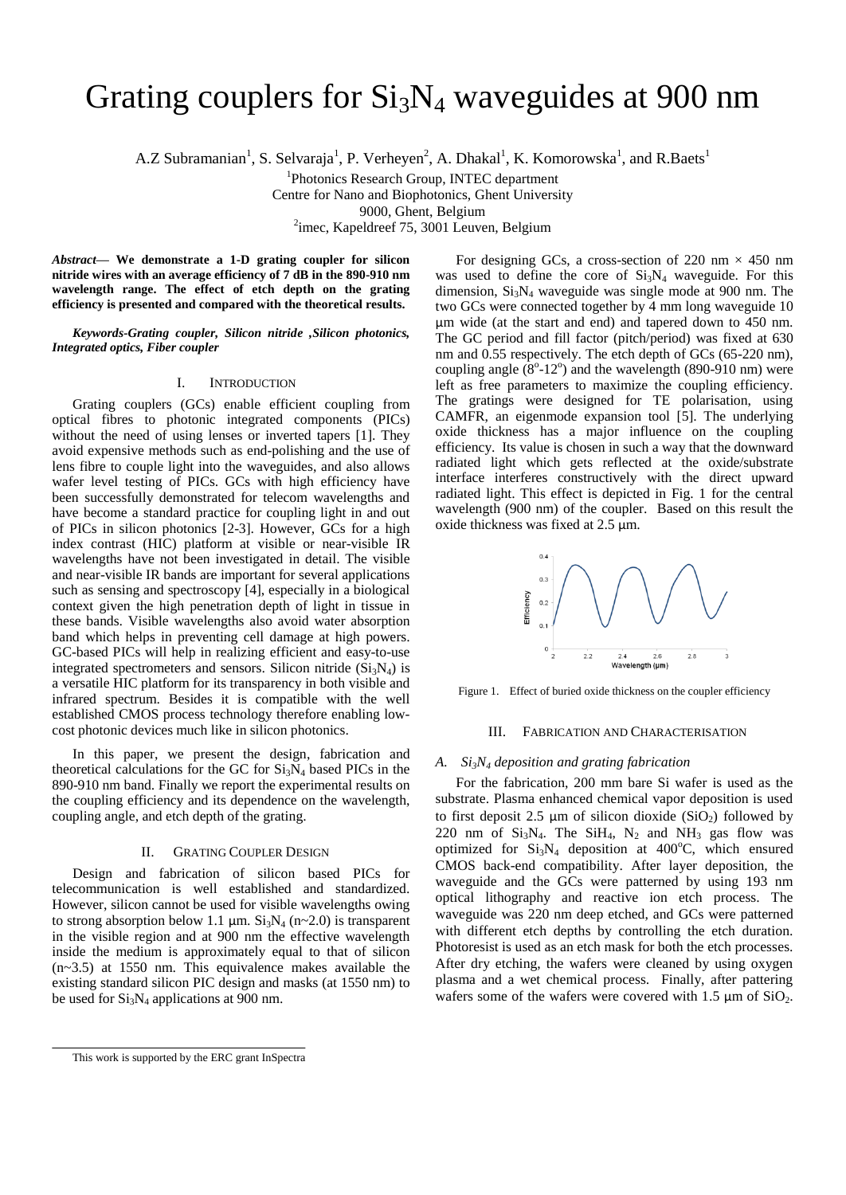# Grating couplers for  $Si<sub>3</sub>N<sub>4</sub>$  waveguides at 900 nm

A.Z Subramanian<sup>1</sup>, S. Selvaraja<sup>1</sup>, P. Verheyen<sup>2</sup>, A. Dhakal<sup>1</sup>, K. Komorowska<sup>1</sup>, and R.Baets<sup>1</sup>

<sup>1</sup>Photonics Research Group, INTEC department

Centre for Nano and Biophotonics, Ghent University

9000, Ghent, Belgium

<sup>2</sup>imec, Kapeldreef 75, 3001 Leuven, Belgium

*Abstract***— We demonstrate a 1-D grating coupler for silicon nitride wires with an average efficiency of 7 dB in the 890-910 nm wavelength range. The effect of etch depth on the grating efficiency is presented and compared with the theoretical results.** 

*Keywords-Grating coupler, Silicon nitride ,Silicon photonics, Integrated optics, Fiber coupler*

# I. INTRODUCTION

Grating couplers (GCs) enable efficient coupling from optical fibres to photonic integrated components (PICs) without the need of using lenses or inverted tapers [1]. They avoid expensive methods such as end-polishing and the use of lens fibre to couple light into the waveguides, and also allows wafer level testing of PICs. GCs with high efficiency have been successfully demonstrated for telecom wavelengths and have become a standard practice for coupling light in and out of PICs in silicon photonics [2-3]. However, GCs for a high index contrast (HIC) platform at visible or near-visible IR wavelengths have not been investigated in detail. The visible and near-visible IR bands are important for several applications such as sensing and spectroscopy [4], especially in a biological context given the high penetration depth of light in tissue in these bands. Visible wavelengths also avoid water absorption band which helps in preventing cell damage at high powers. GC-based PICs will help in realizing efficient and easy-to-use integrated spectrometers and sensors. Silicon nitride  $(Si<sub>3</sub>N<sub>4</sub>)$  is a versatile HIC platform for its transparency in both visible and infrared spectrum. Besides it is compatible with the well established CMOS process technology therefore enabling lowcost photonic devices much like in silicon photonics.

In this paper, we present the design, fabrication and theoretical calculations for the GC for  $Si<sub>3</sub>N<sub>4</sub>$  based PICs in the 890-910 nm band. Finally we report the experimental results on the coupling efficiency and its dependence on the wavelength, coupling angle, and etch depth of the grating.

# II. GRATING COUPLER DESIGN

Design and fabrication of silicon based PICs for telecommunication is well established and standardized. However, silicon cannot be used for visible wavelengths owing to strong absorption below 1.1  $\mu$ m. Si<sub>3</sub>N<sub>4</sub> (n~2.0) is transparent in the visible region and at 900 nm the effective wavelength inside the medium is approximately equal to that of silicon (n~3.5) at 1550 nm. This equivalence makes available the existing standard silicon PIC design and masks (at 1550 nm) to be used for  $Si<sub>3</sub>N<sub>4</sub>$  applications at 900 nm.

For designing GCs, a cross-section of 220 nm  $\times$  450 nm was used to define the core of  $Si<sub>3</sub>N<sub>4</sub>$  waveguide. For this dimension,  $Si<sub>3</sub>N<sub>4</sub>$  waveguide was single mode at 900 nm. The two GCs were connected together by 4 mm long waveguide 10 μm wide (at the start and end) and tapered down to 450 nm. The GC period and fill factor (pitch/period) was fixed at 630 nm and 0.55 respectively. The etch depth of GCs (65-220 nm), coupling angle  $(8^{\circ} - 12^{\circ})$  and the wavelength (890-910 nm) were left as free parameters to maximize the coupling efficiency. The gratings were designed for TE polarisation, using CAMFR, an eigenmode expansion tool [5]. The underlying oxide thickness has a major influence on the coupling efficiency. Its value is chosen in such a way that the downward radiated light which gets reflected at the oxide/substrate interface interferes constructively with the direct upward radiated light. This effect is depicted in Fig. 1 for the central wavelength (900 nm) of the coupler. Based on this result the oxide thickness was fixed at 2.5 μm.



Figure 1. Effect of buried oxide thickness on the coupler efficiency

## III. FABRICATION AND CHARACTERISATION

#### *A. Si3N<sup>4</sup> deposition and grating fabrication*

For the fabrication, 200 mm bare Si wafer is used as the substrate. Plasma enhanced chemical vapor deposition is used to first deposit 2.5  $\mu$ m of silicon dioxide (SiO<sub>2</sub>) followed by 220 nm of  $Si<sub>3</sub>N<sub>4</sub>$ . The  $Si<sub>4</sub>$ ,  $N<sub>2</sub>$  and  $NH<sub>3</sub>$  gas flow was optimized for  $Si<sub>3</sub>N<sub>4</sub>$  deposition at 400°C, which ensured CMOS back-end compatibility. After layer deposition, the waveguide and the GCs were patterned by using 193 nm optical lithography and reactive ion etch process. The waveguide was 220 nm deep etched, and GCs were patterned with different etch depths by controlling the etch duration. Photoresist is used as an etch mask for both the etch processes. After dry etching, the wafers were cleaned by using oxygen plasma and a wet chemical process. Finally, after pattering wafers some of the wafers were covered with  $1.5 \mu m$  of  $SiO<sub>2</sub>$ .

This work is supported by the ERC grant InSpectra